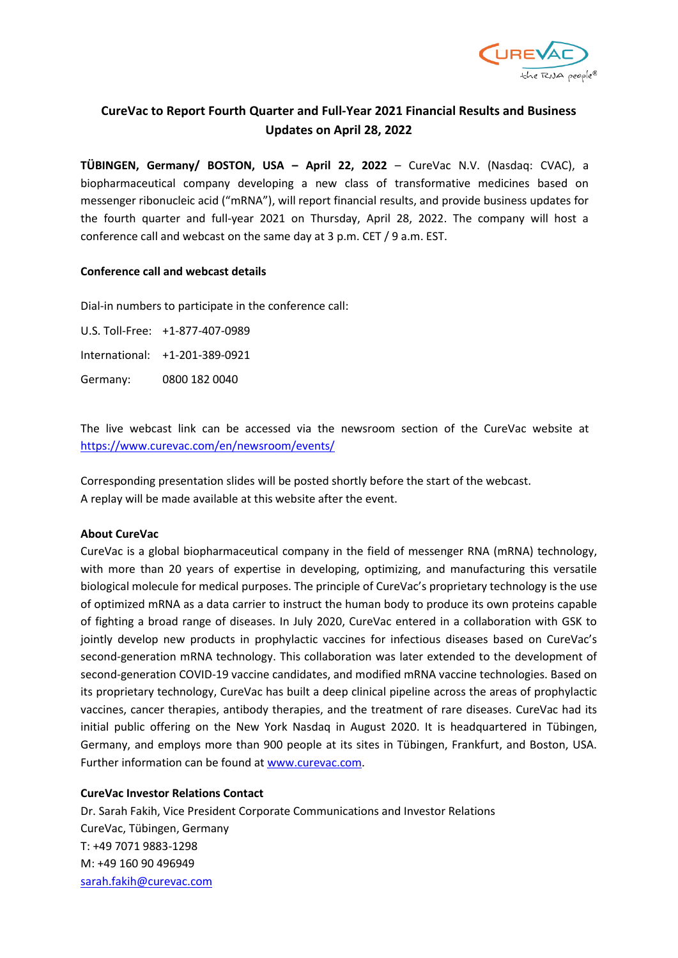

# **CureVac to Report Fourth Quarter and Full-Year 2021 Financial Results and Business Updates on April 28, 2022**

**TÜBINGEN, Germany/ BOSTON, USA – April 22, 2022** – CureVac N.V. (Nasdaq: CVAC), a biopharmaceutical company developing a new class of transformative medicines based on messenger ribonucleic acid ("mRNA"), will report financial results, and provide business updates for the fourth quarter and full-year 2021 on Thursday, April 28, 2022. The company will host a conference call and webcast on the same day at 3 p.m. CET / 9 a.m. EST.

## **Conference call and webcast details**

Dial-in numbers to participate in the conference call:

U.S. Toll-Free: +1-877-407-0989 International: +1-201-389-0921 Germany: 0800 182 0040

The live webcast link can be accessed via the newsroom section of the CureVac website at <https://www.curevac.com/en/newsroom/events/>

Corresponding presentation slides will be posted shortly before the start of the webcast. A replay will be made available at this website after the event.

## **About CureVac**

CureVac is a global biopharmaceutical company in the field of messenger RNA (mRNA) technology, with more than 20 years of expertise in developing, optimizing, and manufacturing this versatile biological molecule for medical purposes. The principle of CureVac's proprietary technology is the use of optimized mRNA as a data carrier to instruct the human body to produce its own proteins capable of fighting a broad range of diseases. In July 2020, CureVac entered in a collaboration with GSK to jointly develop new products in prophylactic vaccines for infectious diseases based on CureVac's second-generation mRNA technology. This collaboration was later extended to the development of second-generation COVID-19 vaccine candidates, and modified mRNA vaccine technologies. Based on its proprietary technology, CureVac has built a deep clinical pipeline across the areas of prophylactic vaccines, cancer therapies, antibody therapies, and the treatment of rare diseases. CureVac had its initial public offering on the New York Nasdaq in August 2020. It is headquartered in Tübingen, Germany, and employs more than 900 people at its sites in Tübingen, Frankfurt, and Boston, USA. Further information can be found at [www.curevac.com.](http://www.curevac.com/)

## **CureVac Investor Relations Contact**

Dr. Sarah Fakih, Vice President Corporate Communications and Investor Relations CureVac, Tübingen, Germany T: +49 7071 9883-1298 M: +49 160 90 496949 [sarah.fakih@curevac.com](mailto:sarah.fakih@curevac.com)